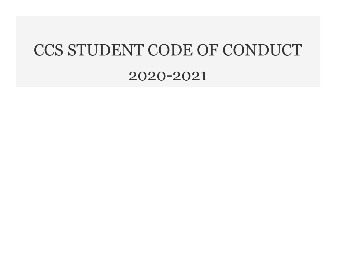# CCS STUDENT CODE OF CONDUCT

## 2020-2021